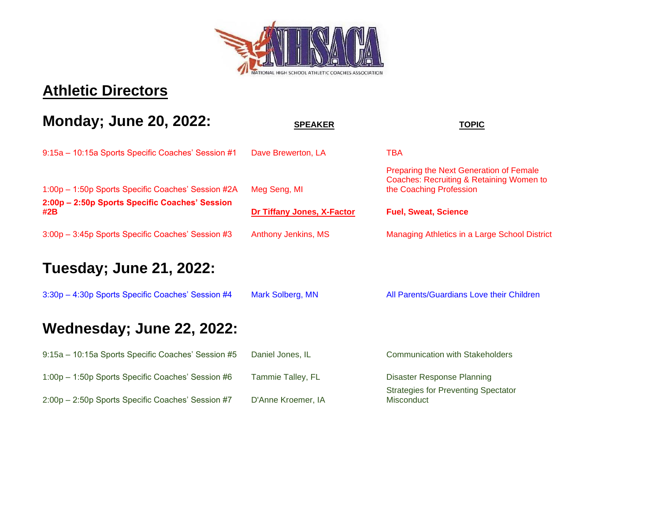

#### **Athletic Directors**

## **Monday; June 20, 2022:** SPEAKER SPEAKER TOPIC 9:15a – 10:15a Sports Specific Coaches' Session #1 Dave Brewerton, LA TBA 1:00p – 1:50p Sports Specific Coaches' Session #2A Meg Seng, MI Preparing the Next Generation of Female Coaches: Recruiting & Retaining Women to the Coaching Profession **2:00p – 2:50p Sports Specific Coaches' Session #2B Dr Tiffany Jones, X-Factor Fuel, Sweat, Science** 3:00p – 3:45p Sports Specific Coaches' Session #3 Anthony Jenkins, MS Managing Athletics in a Large School District **Tuesday; June 21, 2022:** 3:30p - 4:30p Sports Specific Coaches' Session #4 Mark Solberg, MN All Parents/Guardians Love their Children **Wednesday; June 22, 2022:** 9:15a – 10:15a Sports Specific Coaches' Session #5 Daniel Jones, IL Communication with Stakeholders

1:00p – 1:50p Sports Specific Coaches' Session #6 Tammie Talley, FL Disaster Response Planning 2:00p – 2:50p Sports Specific Coaches' Session #7 D'Anne Kroemer, IA

Strategies for Preventing Spectator **Misconduct**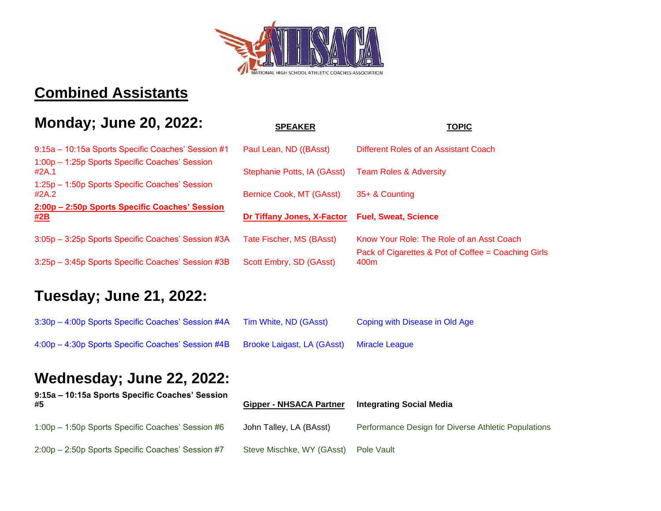

#### **Combined Assistants**

#### **Monday; June 20, 2022: SPEAKER TOPIC**

| 9:15a - 10:15a Sports Specific Coaches' Session #1           | Paul Lean, ND ((BAsst)      | Different Roles of an Assistant Coach                       |
|--------------------------------------------------------------|-----------------------------|-------------------------------------------------------------|
| 1:00p - 1:25p Sports Specific Coaches' Session<br>#2A.1      | Stephanie Potts, IA (GAsst) | <b>Team Roles &amp; Adversity</b>                           |
| 1:25p - 1:50p Sports Specific Coaches' Session<br>#2A.2      | Bernice Cook, MT (GAsst)    | 35+ & Counting                                              |
| 2:00p - 2:50p Sports Specific Coaches' Session<br><u>#2B</u> | Dr Tiffany Jones, X-Factor  | <b>Fuel, Sweat, Science</b>                                 |
| 3:05p - 3:25p Sports Specific Coaches' Session #3A           | Tate Fischer, MS (BAsst)    | Know Your Role: The Role of an Asst Coach                   |
| 3:25p - 3:45p Sports Specific Coaches' Session #3B           | Scott Embry, SD (GAsst)     | Pack of Cigarettes & Pot of Coffee = Coaching Girls<br>400m |

#### **Tuesday; June 21, 2022:**

| 3:30p - 4:00p Sports Specific Coaches' Session #4A                                  | Tim White, ND (GAsst)          | Coping with Disease in Old Age                      |
|-------------------------------------------------------------------------------------|--------------------------------|-----------------------------------------------------|
| 4:00p - 4:30p Sports Specific Coaches' Session #4B                                  | Brooke Laigast, LA (GAsst)     | <b>Miracle League</b>                               |
| <b>Wednesday; June 22, 2022:</b><br>9:15a – 10:15a Sports Specific Coaches' Session |                                |                                                     |
| #5                                                                                  | <b>Gipper - NHSACA Partner</b> | <b>Integrating Social Media</b>                     |
| 1:00p - 1:50p Sports Specific Coaches' Session #6                                   | John Talley, LA (BAsst)        | Performance Design for Diverse Athletic Populations |

2:00p - 2:50p Sports Specific Coaches' Session #7 Steve Mischke, WY (GAsst) Pole Vault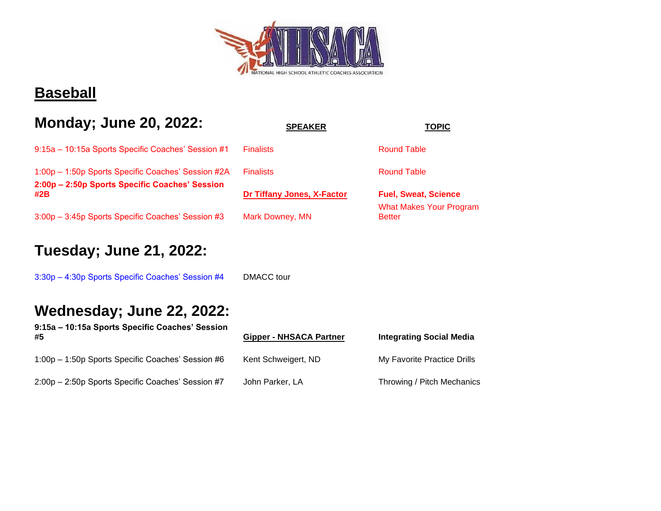

#### **Baseball**

#### **Monday; June 20, 2022:** SPEAKER **TOPIC**

|  | 9:15a – 10:15a Sports Specific Coaches' Session #1 Finalists |  | <b>Round Table</b> |
|--|--------------------------------------------------------------|--|--------------------|
|--|--------------------------------------------------------------|--|--------------------|

1:00p – 1:50p Sports Specific Coaches' Session #2A Finalists Round Table **2:00p – 2:50p Sports Specific Coaches' Session #2B [Dr Tiffany Jones, X-Factor](https://xfactorperformance.com/) Fuel, Sweat, Science**

3:00p – 3:45p Sports Specific Coaches' Session #3 Mark Downey, MN

#### **Tuesday; June 21, 2022:**

3:30p – 4:30p Sports Specific Coaches' Session #4 DMACC tour

#### **Wednesday; June 22, 2022:**

**9:15a – 10:15a Sports Specific Coaches' Session #5 Gipper - NHSACA Partner Integrating Social Media**

1:00p – 1:50p Sports Specific Coaches' Session #6 Kent Schweigert, ND My Favorite Practice Drills

2:00p - 2:50p Sports Specific Coaches' Session #7 John Parker, LA Throwing / Pitch Mechanics

| <b>Sipper - NHSACA Partner</b> |  |  |
|--------------------------------|--|--|
| Kent Schweigert, ND            |  |  |
| Iohn Parkar I A                |  |  |

What Makes Your Program **Better**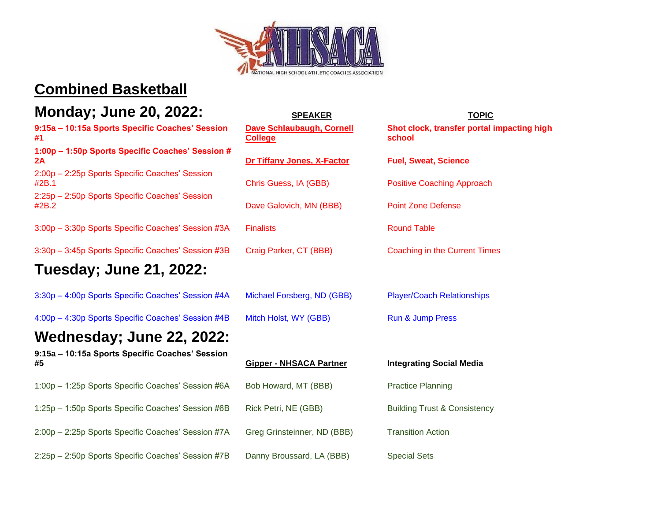

#### **Combined Basketball**

#### **Monday; June 20, 2022:** SPEAKER SPEAKER TOPIC

**9:15a – 10:15a Sports Specific Coaches' Session #1**

**1:00p – 1:50p Sports Specific Coaches' Session # 2A [Dr Tiffany Jones, X-Factor](https://xfactorperformance.com/) Fuel, Sweat, Science**

2:00p – 2:25p Sports Specific Coaches' Session #2B.1 Chris Guess, IA (GBB) Positive Coaching Approach

2:25p – 2:50p Sports Specific Coaches' Session #2B.2 Dave Galovich, MN (BBB) Point Zone Defense

3:00p – 3:30p Sports Specific Coaches' Session #3A Finalists Round Table

3:30p – 3:45p Sports Specific Coaches' Session #3B Craig Parker, CT (BBB) Coaching in the Current Times

#### **Tuesday; June 21, 2022:**

3:30p – 4:00p Sports Specific Coaches' Session #4A Michael Forsberg, ND (GBB) Player/Coach Relationships

4:00p – 4:30p Sports Specific Coaches' Session #4B Mitch Holst, WY (GBB) Run & Jump Press

## **Wednesday; June 22, 2022:**

**9:15a – 10:15a Sports Specific Coaches' Session #5 Gipper - NHSACA Partner Integrating Social Media**

1:00p – 1:25p Sports Specific Coaches' Session #6A Bob Howard, MT (BBB) Practice Planning 1:25p – 1:50p Sports Specific Coaches' Session #6B Rick Petri, NE (GBB) Building Trust & Consistency

2:00p – 2:25p Sports Specific Coaches' Session #7A Greg Grinsteinner, ND (BBB) Transition Action

2:25p – 2:50p Sports Specific Coaches' Session #7B Danny Broussard, LA (BBB) Special Sets

# **[Dave Schlaubaugh, Cornell](https://cornellrams.com/sports/mens-basketball/roster/coaches/dave-schlabaugh/152)  [College](https://cornellrams.com/sports/mens-basketball/roster/coaches/dave-schlabaugh/152)**

**Shot clock, transfer portal impacting high school**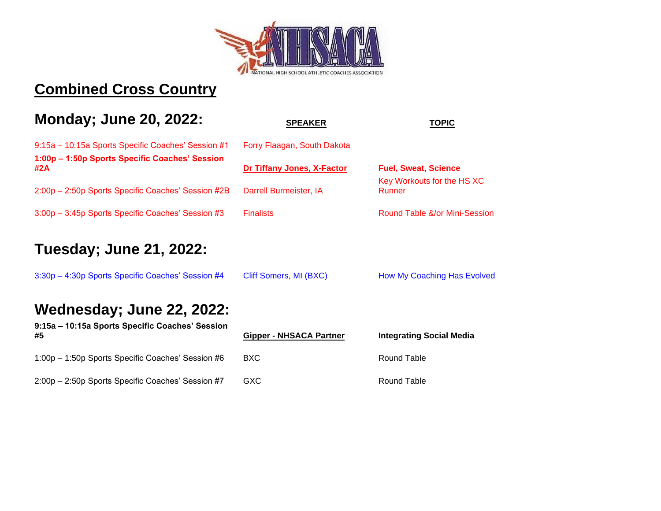

#### **Combined Cross Country**

### **Monday; June 20, 2022:** SPEAKER TOPIC 9:15a – 10:15a Sports Specific Coaches' Session #1 Forry Flaagan, South Dakota **1:00p – 1:50p Sports Specific Coaches' Session #2A [Dr Tiffany Jones, X-Factor](https://xfactorperformance.com/) Fuel, Sweat, Science** 2:00p – 2:50p Sports Specific Coaches' Session #2B Darrell Burmeister, IA Key Workouts for the HS XC Runner 3:00p – 3:45p Sports Specific Coaches' Session #3 Finalists Round Table &/or Mini-Session **Tuesday; June 21, 2022:** 3:30p – 4:30p Sports Specific Coaches' Session #4 Cliff Somers, MI (BXC) How My Coaching Has Evolved **Wednesday; June 22, 2022: 9:15a – 10:15a Sports Specific Coaches' Session #5 Gipper - NHSACA Partner Integrating Social Media**

2:00p – 2:50p Sports Specific Coaches' Session #7 GXC Round Table

1:00p – 1:50p Sports Specific Coaches' Session #6 BXC Round Table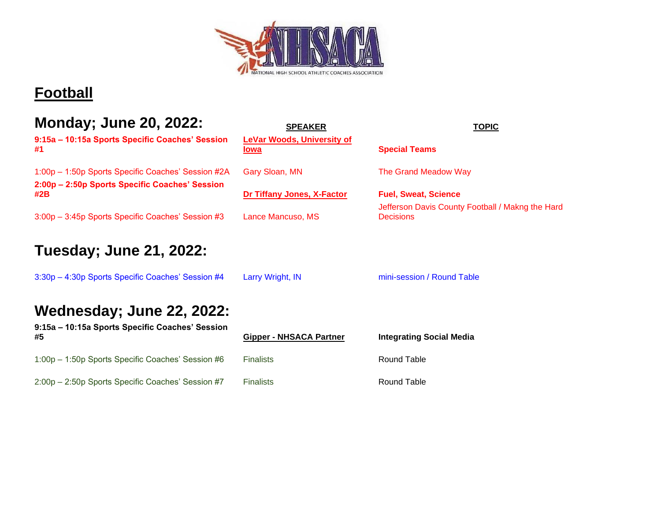

## **Football**

| <b>Monday</b> ; June 20, 2022:                                               | <b>SPEAKER</b>                            | <b>TOPIC</b>                                                         |
|------------------------------------------------------------------------------|-------------------------------------------|----------------------------------------------------------------------|
| 9:15a - 10:15a Sports Specific Coaches' Session<br>#1                        | <b>LeVar Woods, University of</b><br>lowa | <b>Special Teams</b>                                                 |
| 1:00p - 1:50p Sports Specific Coaches' Session #2A                           | Gary Sloan, MN                            | The Grand Meadow Way                                                 |
| 2:00p – 2:50p Sports Specific Coaches' Session<br>#2B                        | Dr Tiffany Jones, X-Factor                | <b>Fuel, Sweat, Science</b>                                          |
| 3:00p - 3:45p Sports Specific Coaches' Session #3                            | Lance Mancuso, MS                         | Jefferson Davis County Football / Makng the Hard<br><b>Decisions</b> |
| <b>Tuesday</b> ; June 21, 2022:                                              |                                           |                                                                      |
| 3:30p - 4:30p Sports Specific Coaches' Session #4                            | Larry Wright, IN                          | mini-session / Round Table                                           |
| Wednesday; June 22, 2022:<br>9:15a - 10:15a Sports Specific Coaches' Session |                                           |                                                                      |
| #5                                                                           | <b>Gipper - NHSACA Partner</b>            | <b>Integrating Social Media</b>                                      |
| 1:00p - 1:50p Sports Specific Coaches' Session #6                            | <b>Finalists</b>                          | <b>Round Table</b>                                                   |
| 2:00p - 2:50p Sports Specific Coaches' Session #7                            | <b>Finalists</b>                          | <b>Round Table</b>                                                   |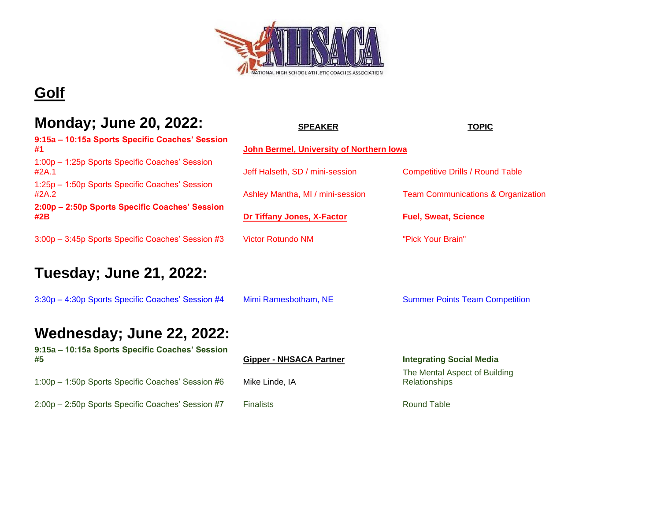

## **Golf**

#### **Monday; June 20, 2022:**

| 9:15a – 10:15a Sports Specific Coaches' Session<br>#1   | John Bermel, University of Northern Iowa |                           |
|---------------------------------------------------------|------------------------------------------|---------------------------|
| 1:00p - 1:25p Sports Specific Coaches' Session<br>#2A.1 | Jeff Halseth, SD / mini-session          | <b>Competitive Drills</b> |
| 1:25p - 1:50p Sports Specific Coaches' Session<br>#2A.2 | Ashley Mantha, MI / mini-session         | <b>Team Communic</b>      |
| 2:00p - 2:50p Sports Specific Coaches' Session<br>#2B   | Dr Tiffany Jones, X-Factor               | <b>Fuel, Sweat, Sci</b>   |
| 3:00p - 3:45p Sports Specific Coaches' Session #3       | <b>Victor Rotundo NM</b>                 | "Pick Your Brain"         |

#### **Tuesday; June 21, 2022:**

3:30p – 4:30p Sports Specific Coaches' Session #4 Mimi Ramesbotham, NE Summer Points Team Competition

#### **Wednesday; June 22, 2022:**

| 9:15a - 10:15a Sports Specific Coaches' Session<br>#5 | <b>Gipper - NHSACA Partner</b> | <b>Integrating 9</b>                 |
|-------------------------------------------------------|--------------------------------|--------------------------------------|
| 1:00p - 1:50p Sports Specific Coaches' Session #6     | Mike Linde, IA                 | The Mental A<br><b>Relationships</b> |
| 2:00p - 2:50p Sports Specific Coaches' Session #7     | <b>Finalists</b>               | <b>Round Table</b>                   |

| MUNUAY, JUNTU ZU, ZUZZ.                                 | <b>SPEAKER</b>                           | <b>TOPIC</b>                                  |
|---------------------------------------------------------|------------------------------------------|-----------------------------------------------|
| 9:15a - 10:15a Sports Specific Coaches' Session<br>#1   | John Bermel, University of Northern Iowa |                                               |
| 1:00p - 1:25p Sports Specific Coaches' Session<br>#2A.1 | Jeff Halseth, SD / mini-session          | <b>Competitive Drills / Round Table</b>       |
| 1:25p - 1:50p Sports Specific Coaches' Session<br>#2A.2 | Ashley Mantha, MI / mini-session         | <b>Team Communications &amp; Organization</b> |
| 2:00p - 2:50p Sports Specific Coaches' Session<br>#2B   | <b>Dr Tiffany Jones, X-Factor</b>        | <b>Fuel, Sweat, Science</b>                   |

**#5 Gipper - NHSACA Partner Integrating Social Media** The Mental Aspect of Building Relationships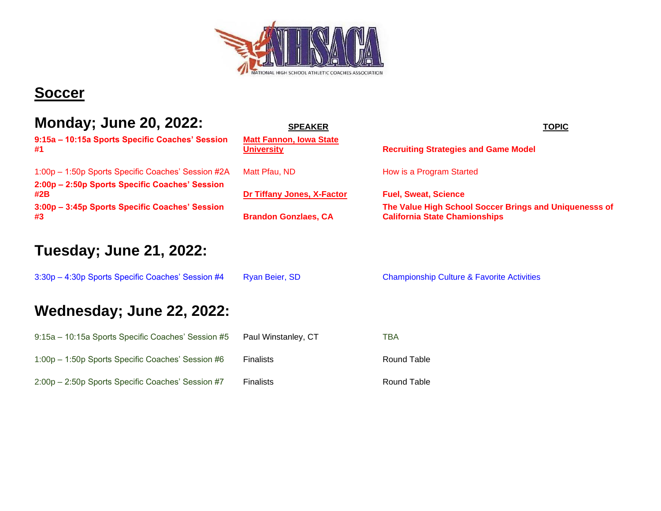

#### **Soccer**

| <b>Monday; June 20, 2022:</b><br>9:15a - 10:15a Sports Specific Coaches' Session                     | <b>SPEAKER</b><br><b>Matt Fannon, Iowa State</b> | <u>TOPIC</u>                                                                                   |
|------------------------------------------------------------------------------------------------------|--------------------------------------------------|------------------------------------------------------------------------------------------------|
| #1                                                                                                   | <b>University</b>                                | <b>Recruiting Strategies and Game Model</b>                                                    |
| 1:00p - 1:50p Sports Specific Coaches' Session #2A<br>2:00p - 2:50p Sports Specific Coaches' Session | Matt Pfau, ND                                    | How is a Program Started                                                                       |
| #2B                                                                                                  | Dr Tiffany Jones, X-Factor                       | <b>Fuel, Sweat, Science</b>                                                                    |
| 3:00p - 3:45p Sports Specific Coaches' Session<br>#3                                                 | <b>Brandon Gonzlaes, CA</b>                      | The Value High School Soccer Brings and Uniquenesss of<br><b>California State Chamionships</b> |
| <b>Tuesday; June 21, 2022:</b>                                                                       |                                                  |                                                                                                |
| 3:30p - 4:30p Sports Specific Coaches' Session #4                                                    | Ryan Beier, SD                                   | <b>Championship Culture &amp; Favorite Activities</b>                                          |
| <b>Wednesday; June 22, 2022:</b>                                                                     |                                                  |                                                                                                |
| 9:15a - 10:15a Sports Specific Coaches' Session #5                                                   | Paul Winstanley, CT                              | <b>TBA</b>                                                                                     |
| 1:00p - 1:50p Sports Specific Coaches' Session #6                                                    | <b>Finalists</b>                                 | <b>Round Table</b>                                                                             |
| 2:00p - 2:50p Sports Specific Coaches' Session #7                                                    | <b>Finalists</b>                                 | Round Table                                                                                    |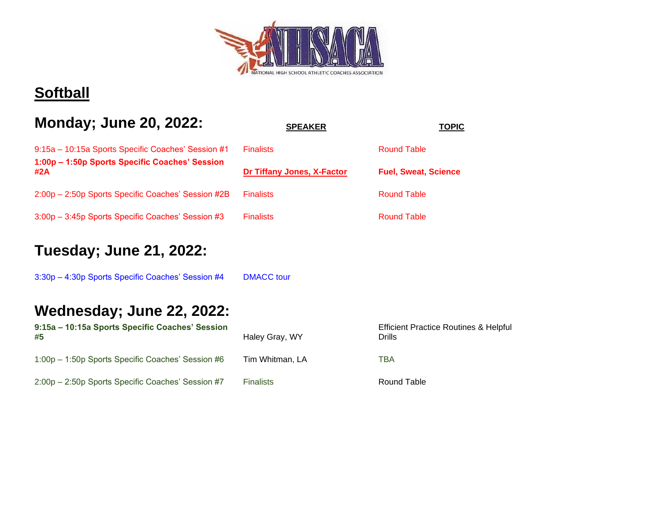

#### **Softball**

| <b>Monday; June 20, 2022:</b> | <b>SPEAKER</b> | <b>TOPIC</b> |
|-------------------------------|----------------|--------------|
|-------------------------------|----------------|--------------|

| 9:15a – 10:15a Sports Specific Coaches' Session #1    | <b>Finalists</b>           | <b>Round Table</b>          |
|-------------------------------------------------------|----------------------------|-----------------------------|
| 1:00p - 1:50p Sports Specific Coaches' Session<br>#2A | Dr Tiffany Jones, X-Factor | <b>Fuel, Sweat, Science</b> |
| 2:00p – 2:50p Sports Specific Coaches' Session #2B    | <b>Finalists</b>           | Round Table                 |

3:00p - 3:45p Sports Specific Coaches' Session #3 Fin

#### **Tuesday; June 21, 2022:**

3:30p – 4:30p Sports Specific Coaches' Session #4 DMACC tour

| 9:15a - 10:15a Sports Specific Coaches' Session   |                  | <b>Efficient Practice Routines &amp; Helpful</b> |  |
|---------------------------------------------------|------------------|--------------------------------------------------|--|
| #5                                                | Haley Gray, WY   | Drills                                           |  |
| 1:00p – 1:50p Sports Specific Coaches' Session #6 | Tim Whitman, LA  | TBA                                              |  |
| 2:00p - 2:50p Sports Specific Coaches' Session #7 | <b>Finalists</b> | Round Table                                      |  |

| าalists                 | <b>Round Table</b>         |
|-------------------------|----------------------------|
| Tiffany Jones, X-Factor | <b>Fuel, Sweat, Sciend</b> |
| าalists                 | <b>Round Table</b>         |
| <b>nalists</b>          | <b>Round Table</b>         |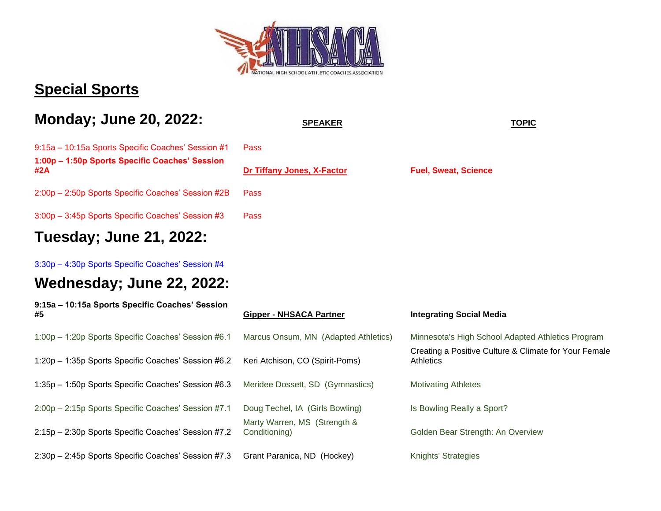

#### **Special Sports**

#### **Monday; June 20, 2022:** SPEAKER **SPEAKER SPEAKER TOPIC**

9:15a – 10:15a Sports Specific Coaches' Session #1 Pass **1:00p – 1:50p Sports Specific Coaches' Session #2A [Dr Tiffany Jones, X-Factor](https://xfactorperformance.com/) Fuel, Sweat, Science**

2:00p – 2:50p Sports Specific Coaches' Session #2B Pass

3:00p – 3:45p Sports Specific Coaches' Session #3 Pass

#### **Tuesday; June 21, 2022:**

3:30p – 4:30p Sports Specific Coaches' Session #4

| 9:15a - 10:15a Sports Specific Coaches' Session<br>#5 | <b>Gipper - NHSACA Partner</b>                | <b>Integrating Social Media</b>                                           |
|-------------------------------------------------------|-----------------------------------------------|---------------------------------------------------------------------------|
| 1:00p - 1:20p Sports Specific Coaches' Session #6.1   | Marcus Onsum, MN (Adapted Athletics)          | Minnesota's High School Adapted Athletics Program                         |
| 1:20p - 1:35p Sports Specific Coaches' Session #6.2   | Keri Atchison, CO (Spirit-Poms)               | Creating a Positive Culture & Climate for Your Female<br><b>Athletics</b> |
| 1:35p - 1:50p Sports Specific Coaches' Session #6.3   | Meridee Dossett, SD (Gymnastics)              | <b>Motivating Athletes</b>                                                |
| 2:00p - 2:15p Sports Specific Coaches' Session #7.1   | Doug Techel, IA (Girls Bowling)               | Is Bowling Really a Sport?                                                |
| 2:15p - 2:30p Sports Specific Coaches' Session #7.2   | Marty Warren, MS (Strength &<br>Conditioning) | Golden Bear Strength: An Overview                                         |
| 2:30p - 2:45p Sports Specific Coaches' Session #7.3   | Grant Paranica, ND (Hockey)                   | <b>Knights' Strategies</b>                                                |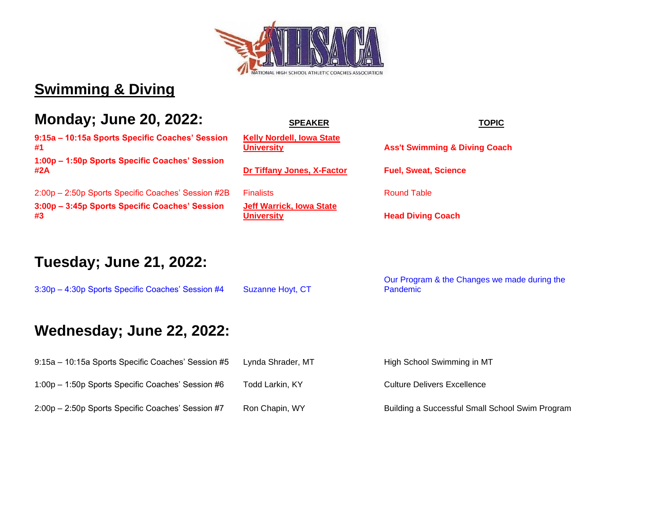

#### **Swimming & Diving**

#### **Monday; June 20, 2022:** SPEAKER SPEAKER TOPIC

**9:15a – 10:15a Sports Specific Coaches' Session #1**

**1:00p – 1:50p Sports Specific Coaches' Session #2A [Dr Tiffany Jones, X-Factor](https://xfactorperformance.com/) Fuel, Sweat, Science**

2:00p – 2:50p Sports Specific Coaches' Session #2B Finalists Round Table **3:00p – 3:45p Sports Specific Coaches' Session #3**

| <b>SPEANER</b>                                        |  |  |
|-------------------------------------------------------|--|--|
| <b>Kelly Nordell, Iowa State</b><br><b>University</b> |  |  |
| Dr Tiffany Jones, X-Factor                            |  |  |

**[Jeff Warrick, Iowa State](https://cyclones.com/sports/womens-swimming-and-diving/roster/coaches/jeff-warrick/1803)** 

**[University](https://cyclones.com/sports/womens-swimming-and-diving/roster/coaches/kelly-nordell/1799) Ass't Swimming & Diving Coach**

**Head Diving Coach** 

#### **Tuesday; June 21, 2022:**

3:30p - 4:30p Sports Specific Coaches' Session #4 Suzanne Hoyt, CT Our Program & the Changes we made during the Pandemic

| 9:15a – 10:15a Sports Specific Coaches' Session #5 | Lynda Shrader, MT | High School Swimming in MT                      |
|----------------------------------------------------|-------------------|-------------------------------------------------|
| 1:00p – 1:50p Sports Specific Coaches' Session #6  | Todd Larkin, KY   | <b>Culture Delivers Excellence</b>              |
| 2:00p – 2:50p Sports Specific Coaches' Session #7  | Ron Chapin, WY    | Building a Successful Small School Swim Program |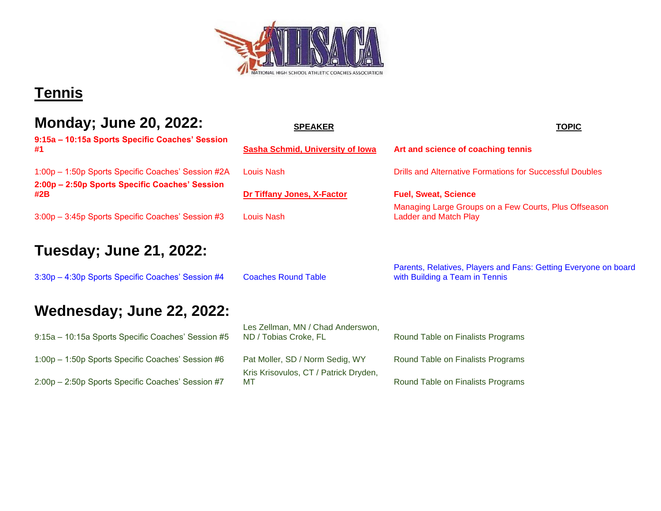

#### **Tennis**

| <b>Monday; June 20, 2022:</b> | <b>SPEAKER</b> | <b>TOPIC</b> |
|-------------------------------|----------------|--------------|
|                               |                |              |

#### **Tuesday; June 21, 2022:**

3:30p – 4:30p Sports Specific Coaches' Session #4 Coaches Round Table

# **Wednesday; June 22, 2022:**

9:15a – 10:15a Sports Specific Coaches' Session #5 1:00p – 1:50p Sports Specific Coaches' Session #6 Pat Moller, SD / Norm Sedig, WY Round Table on Finalists Programs 2:00p – 2:50p Sports Specific Coaches' Session #7

| <b>IVIUIIUAY, JUIIU LU, LULL.</b>                     | <b>SPEAKER</b>                          | <b>TOPIC</b>                                                                          |
|-------------------------------------------------------|-----------------------------------------|---------------------------------------------------------------------------------------|
| 9:15a - 10:15a Sports Specific Coaches' Session<br>#1 | <b>Sasha Schmid, University of Iowa</b> | Art and science of coaching tennis                                                    |
| 1:00p - 1:50p Sports Specific Coaches' Session #2A    | Louis Nash                              | Drills and Alternative Formations for Successful Doubles                              |
| 2:00p - 2:50p Sports Specific Coaches' Session<br>#2B | Dr Tiffany Jones, X-Factor              | <b>Fuel, Sweat, Science</b>                                                           |
| 3:00p - 3:45p Sports Specific Coaches' Session #3     | Louis Nash                              | Managing Large Groups on a Few Courts, Plus Offseason<br><b>Ladder and Match Play</b> |
| Tuesday; June 21, 2022:                               |                                         |                                                                                       |
|                                                       |                                         | Parents, Relatives, Players and Fans: Getting Everyone on b                           |

Parents, Relatives, Players and Fans: Getting Everyone on board with Building a Team in Tennis

Les Zellman, MN / Chad Anderswon, ND / Tobias Croke, FL Round Table on Finalists Programs

Kris Krisovulos, CT / Patrick Dryden,

MT **MT** Round Table on Finalists Programs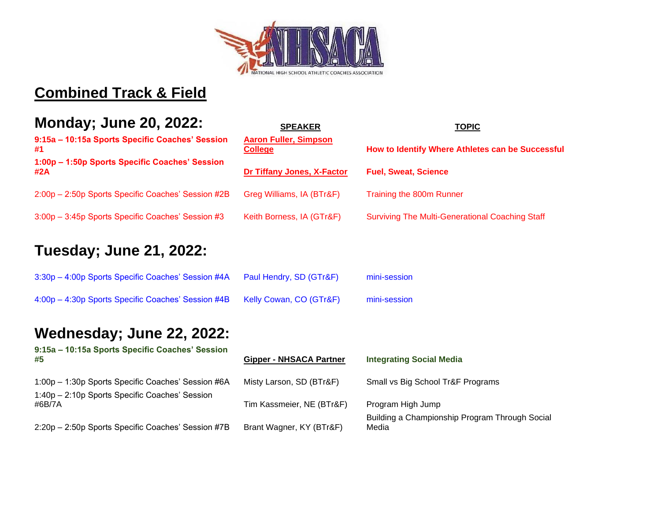

#### **Combined Track & Field**

#### **Monday; June 20, 2022:** SPEAKER **TOPIC**

**#1**

| INSIIGAY, VANG LU, LULLI                              | SPEANER                                        | TUPIU                                                  |
|-------------------------------------------------------|------------------------------------------------|--------------------------------------------------------|
| 9:15a - 10:15a Sports Specific Coaches' Session<br>#1 | <b>Aaron Fuller, Simpson</b><br><b>College</b> | How to Identify Where Athletes can be Successful       |
| 1:00p - 1:50p Sports Specific Coaches' Session<br>#2A | <b>Dr Tiffany Jones, X-Factor</b>              | <b>Fuel, Sweat, Science</b>                            |
| 2:00p - 2:50p Sports Specific Coaches' Session #2B    | Greg Williams, IA (BTr&F)                      | Training the 800m Runner                               |
| 3:00p - 3:45p Sports Specific Coaches' Session #3     | Keith Borness, IA (GTr&F)                      | <b>Surviving The Multi-Generational Coaching Staff</b> |

#### **Tuesday; June 21, 2022:**

| 3:30p - 4:00p Sports Specific Coaches' Session #4A | Paul Hendry, SD (GTr&F) | mini-session |
|----------------------------------------------------|-------------------------|--------------|
| 4:00p – 4:30p Sports Specific Coaches' Session #4B | Kelly Cowan, CO (GTr&F) | mini-session |

| 9:15a - 10:15a Sports Specific Coaches' Session<br>#5    | <b>Gipper - NHSACA Partner</b> | <b>Integrating Social Media</b>                         |
|----------------------------------------------------------|--------------------------------|---------------------------------------------------------|
| 1:00p - 1:30p Sports Specific Coaches' Session #6A       | Misty Larson, SD (BTr&F)       | Small vs Big School Tr&F Programs                       |
| 1:40p - 2:10p Sports Specific Coaches' Session<br>#6B/7A | Tim Kassmeier, NE (BTr&F)      | Program High Jump                                       |
| 2:20p - 2:50p Sports Specific Coaches' Session #7B       | Brant Wagner, KY (BTr&F)       | Building a Championship Program Through Social<br>Media |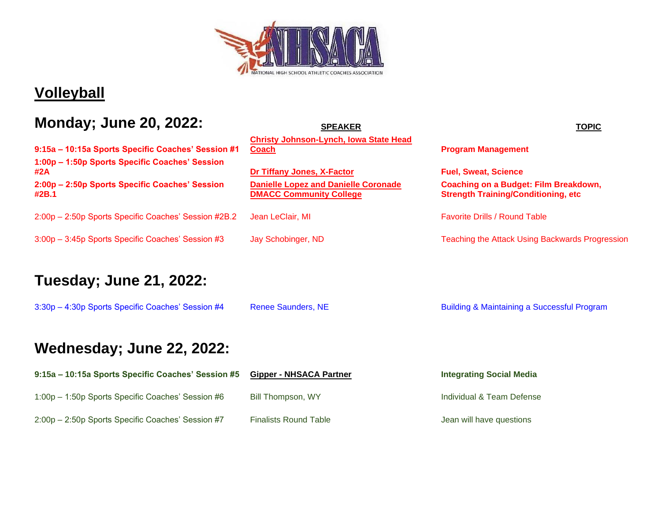

#### **Volleyball**

#### **Monday; June 20, 2022:** SPEAKER SPEAKER **TOPIC**

**9:15a – 10:15a Sports Specific Coaches' Session #1 1:00p – 1:50p Sports Specific Coaches' Session #2A [Dr Tiffany Jones, X-Factor](https://xfactorperformance.com/) Fuel, Sweat, Science 2:00p – 2:50p Sports Specific Coaches' Session #2B.1**

2:00p – 2:50p Sports Specific Coaches' Session #2B.2 Jean LeClair, MI Favorite Drills / Round Table

3:00p – 3:45p Sports Specific Coaches' Session #3 Jay Schobinger, ND Teaching the Attack Using Backwards Progression

#### **Tuesday; June 21, 2022:**

3:30p – 4:30p Sports Specific Coaches' Session #4 Renee Saunders, NE Building & Maintaining a Successful Program

**[Christy Johnson-Lynch, Iowa State Head](https://cyclones.com/sports/womens-volleyball/roster/coaches/christy-johnson-lynch/1890#:~:text=Christy%20Johnson%2DLynch%20enters%20her,unrecognizable%20compared%20to%20today)** 

**[Danielle Lopez and Danielle Coronade](https://www.dmaccbears.com/sports/wvball/coaches/Danielle_Lopez?view=bio)  [DMACC Community College](https://www.dmaccbears.com/sports/wvball/coaches/Danielle_Lopez?view=bio)**

**[Coach](https://cyclones.com/sports/womens-volleyball/roster/coaches/christy-johnson-lynch/1890#:~:text=Christy%20Johnson%2DLynch%20enters%20her,unrecognizable%20compared%20to%20today) Program Management** 

**Coaching on a Budget: Film Breakdown, Strength Training/Conditioning, etc**

| 9:15a – 10:15a Sports Specific Coaches' Session #5 | <b>Gipper - NHSACA Partner</b> | <b>Integrating Social Media</b> |
|----------------------------------------------------|--------------------------------|---------------------------------|
| 1:00p - 1:50p Sports Specific Coaches' Session #6  | Bill Thompson, WY              | Individual & Team Defense       |
| 2:00p - 2:50p Sports Specific Coaches' Session #7  | <b>Finalists Round Table</b>   | Jean will have questions        |